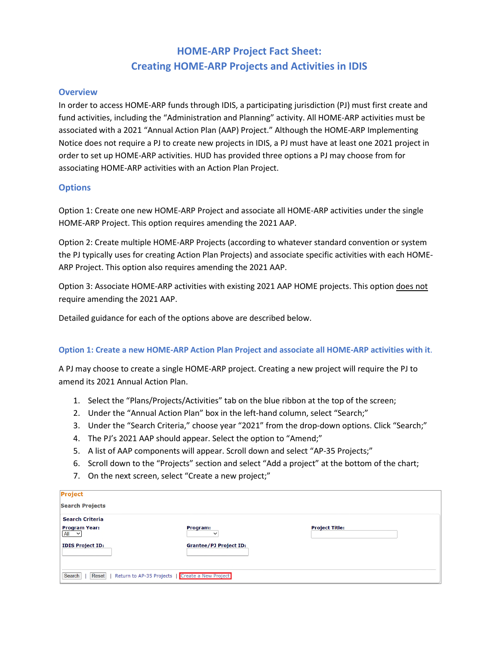# **HOME-ARP Project Fact Sheet: Creating HOME-ARP Projects and Activities in IDIS**

### **Overview**

In order to access HOME-ARP funds through IDIS, a participating jurisdiction (PJ) must first create and fund activities, including the "Administration and Planning" activity. All HOME-ARP activities must be associated with a 2021 "Annual Action Plan (AAP) Project." Although the HOME-ARP Implementing Notice does not require a PJ to create new projects in IDIS, a PJ must have at least one 2021 project in order to set up HOME-ARP activities. HUD has provided three options a PJ may choose from for associating HOME-ARP activities with an Action Plan Project.

### **Options**

Option 1: Create one new HOME-ARP Project and associate all HOME-ARP activities under the single HOME-ARP Project. This option requires amending the 2021 AAP.

Option 2: Create multiple HOME-ARP Projects (according to whatever standard convention or system the PJ typically uses for creating Action Plan Projects) and associate specific activities with each HOME-ARP Project. This option also requires amending the 2021 AAP.

Option 3: Associate HOME-ARP activities with existing 2021 AAP HOME projects. This option does not require amending the 2021 AAP.

Detailed guidance for each of the options above are described below.

### **Option 1: Create a new HOME-ARP Action Plan Project and associate all HOME-ARP activities with it**.

A PJ may choose to create a single HOME-ARP project. Creating a new project will require the PJ to amend its 2021 Annual Action Plan.

- 1. Select the "Plans/Projects/Activities" tab on the blue ribbon at the top of the screen;
- 2. Under the "Annual Action Plan" box in the left-hand column, select "Search;"
- 3. Under the "Search Criteria," choose year "2021" from the drop-down options. Click "Search;"
- 4. The PJ's 2021 AAP should appear. Select the option to "Amend;"
- 5. A list of AAP components will appear. Scroll down and select "AP-35 Projects;"
- 6. Scroll down to the "Projects" section and select "Add a project" at the bottom of the chart;
- 7. On the next screen, select "Create a new project;"

| <b>Project</b>                                                     |                               |                       |  |
|--------------------------------------------------------------------|-------------------------------|-----------------------|--|
| <b>Search Projects</b>                                             |                               |                       |  |
| <b>Search Criteria</b>                                             |                               |                       |  |
| <b>Program Year:</b><br>$\left  A \right  \left  \right $ $\vee$   | Program:<br>$\checkmark$      | <b>Project Title:</b> |  |
| <b>IDIS Project ID:</b>                                            | <b>Grantee/PJ Project ID:</b> |                       |  |
| Search<br>Reset<br>Return to AP-35 Projects   Create a New Project |                               |                       |  |